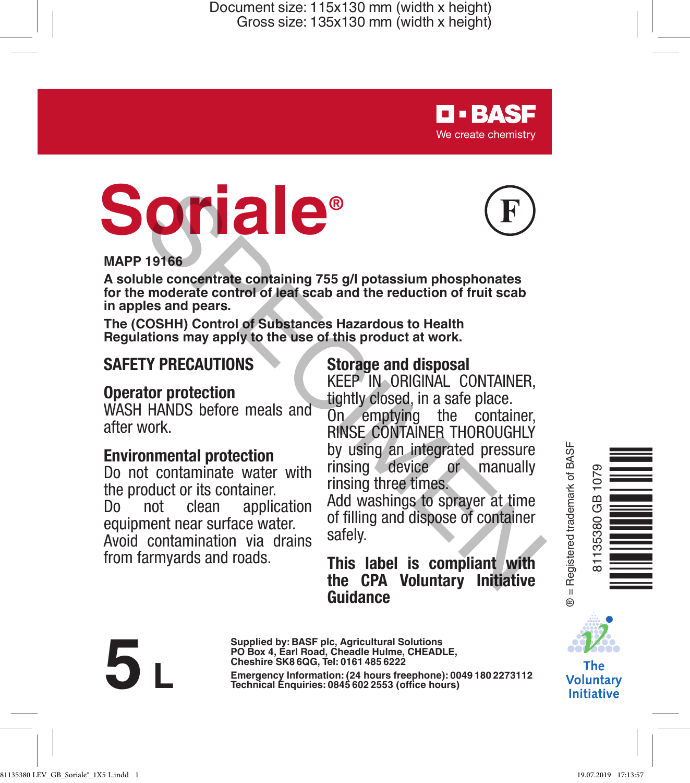# **Soriale®**



**D-BASF** We create chemistry

#### **MAPP 19166**

**A soluble concentrate containing 755 g/l potassium phosphonates for the moderate control of leaf scab and the reduction of fruit scab in apples and pears.**

**The (COSHH) Control of Substances Hazardous to Health Regulations may apply to the use of this product at work.**

# **SAFETY PRECAUTIONS**

### **Operator protection**

WASH HANDS before meals and after work.

#### **Environmental protection**

Do not contaminate water with the product or its container. Do not clean application equipment near surface water.

Avoid contamination via drains from farmyards and roads.

#### **Storage and disposal**

KEEP IN ORIGINAL CONTAINER, tightly closed, in a safe place.

On emptying the container, RINSE CONTAINER THOROUGHLY by using an integrated pressure rinsing device or manually rinsing three times. **Example 19 and 19 and 19 and 19 and 19 and 19 and 19 and 19 and 19 and 19 and 19 and 19 and 19 and 19 and 19 and 19 and 19 and 19 and 19 and 19 and 19 and 19 and 19 and 19 and 19 and 19 and 19 and 19 and 19 and 19 and 19** 

Add washings to sprayer at time of filling and dispose of container safely.

**This label is compliant with the CPA Voluntary Initiative Guidance**



**Supplied by: BASF plc, Agricultural Solutions PO Box 4, Earl Road, Cheadle Hulme, CHEADLE, Cheshire SK8 6QG, Tel: 0161 485 6222**

**Emergency Information: 0.24**<br> **Emergency Information:** (24 **hours freephone**): 0049 180 2273112<br> **Emergency Information:** (24 **hours)**<br> **Elechnical** Enquiries: 0845 602 2553 (office hours)





The **Voluntary** Initiative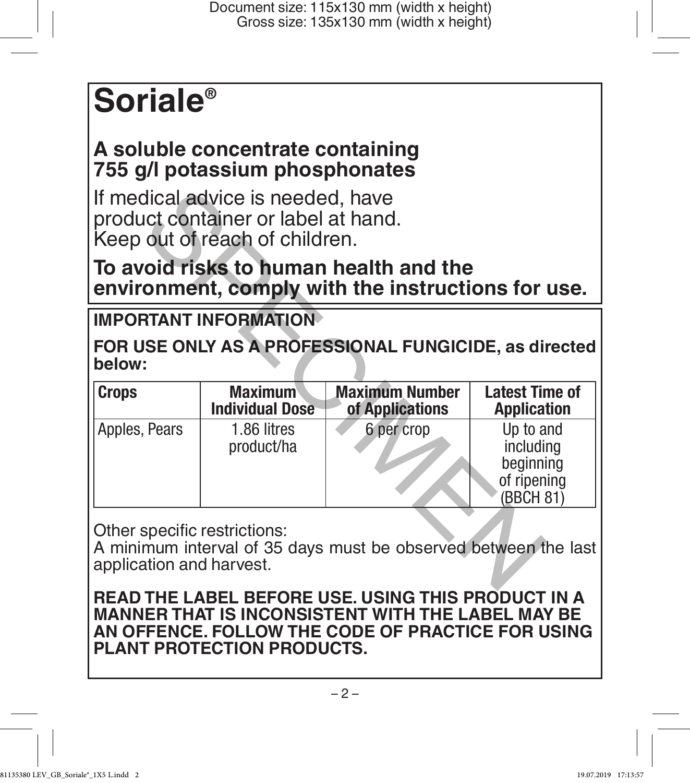# **Soriale®**

# **A soluble concentrate containing 755 g/l potassium phosphonates**

# **To avoid risks to human health and the environment, comply with the instructions for use.**

# **IMPORTANT INFORMATION**

| If medical advice is needed, have<br>product container or label at hand.<br>Keep out of reach of children.<br>To avoid risks to human health and the<br>environment, comply with the instructions for use. |                           |                       |                                                                 |
|------------------------------------------------------------------------------------------------------------------------------------------------------------------------------------------------------------|---------------------------|-----------------------|-----------------------------------------------------------------|
|                                                                                                                                                                                                            |                           |                       |                                                                 |
| FOR USE ONLY AS A PROFESSIONAL FUNGICIDE, as directed<br>below:                                                                                                                                            |                           |                       |                                                                 |
| <b>Crops</b>                                                                                                                                                                                               | <b>Maximum</b>            | <b>Maximum Number</b> | <b>Latest Time of</b>                                           |
|                                                                                                                                                                                                            | <b>Individual Dose</b>    | of Applications       | <b>Application</b>                                              |
| Apples, Pears                                                                                                                                                                                              | 1.86 litres<br>product/ha | 6 per crop            | Up to and<br>including<br>beginning<br>of ripening<br>(BBCH 81) |

**READ THE LABEL BEFORE USE. USING THIS PRODUCT IN A MANNER THAT IS INCONSISTENT WITH THE LABEL MAY BE AN OFFENCE. FOLLOW THE CODE OF PRACTICE FOR USING PLANT PROTECTION PRODUCTS.**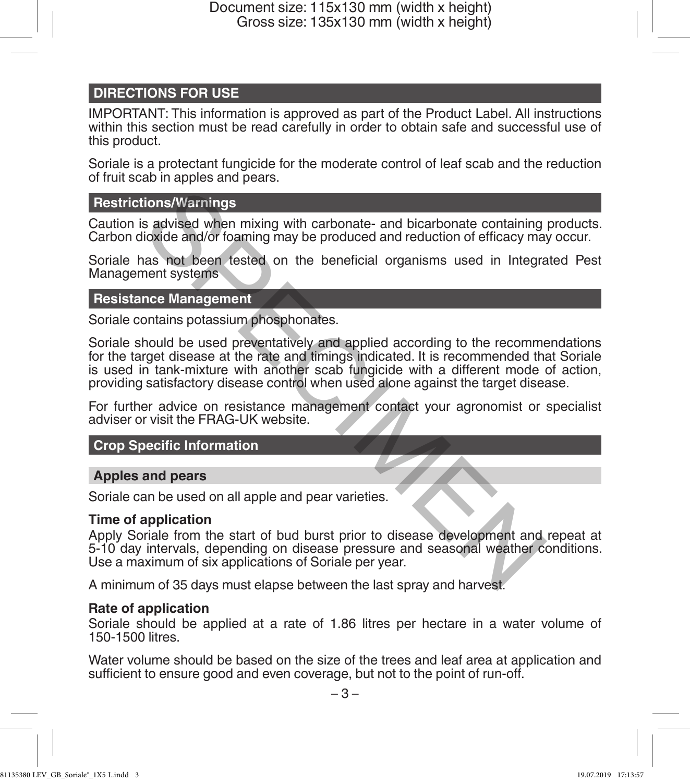#### **DIRECTIONS FOR USE**

IMPORTANT: This information is approved as part of the Product Label. All instructions within this section must be read carefully in order to obtain safe and successful use of this product.

Soriale is a protectant fungicide for the moderate control of leaf scab and the reduction of fruit scab in apples and pears.

#### **Restrictions/Warnings**

Caution is advised when mixing with carbonate- and bicarbonate containing products. Carbon dioxide and/or foaming may be produced and reduction of efficacy may occur.

Soriale has not been tested on the beneficial organisms used in Integrated Pest Management systems

#### **Resistance Management**

Soriale contains potassium phosphonates.

Soriale should be used preventatively and applied according to the recommendations for the target disease at the rate and timings indicated. It is recommended that Soriale is used in tank-mixture with another scab fungicide with a different mode of action, providing satisfactory disease control when used alone against the target disease. tions/Warnings<br>
is advised when mixing with carbonate- and bicarbonate containing<br>
lioxide and/or foaming may be produced and reduction of efficacy may<br>
ans not been tested on the beneficial organisms used in Integra<br>
mas

For further advice on resistance management contact your agronomist or specialist adviser or visit the FRAG-UK website.

#### **Crop Specific Information**

#### **Apples and pears**

Soriale can be used on all apple and pear varieties.

#### **Time of application**

Apply Soriale from the start of bud burst prior to disease development and repeat at 5-10 day intervals, depending on disease pressure and seasonal weather conditions. Use a maximum of six applications of Soriale per year.

A minimum of 35 days must elapse between the last spray and harvest.

#### **Rate of application**

Soriale should be applied at a rate of 1.86 litres per hectare in a water volume of 150-1500 litres.

Water volume should be based on the size of the trees and leaf area at application and sufficient to ensure good and even coverage, but not to the point of run-off.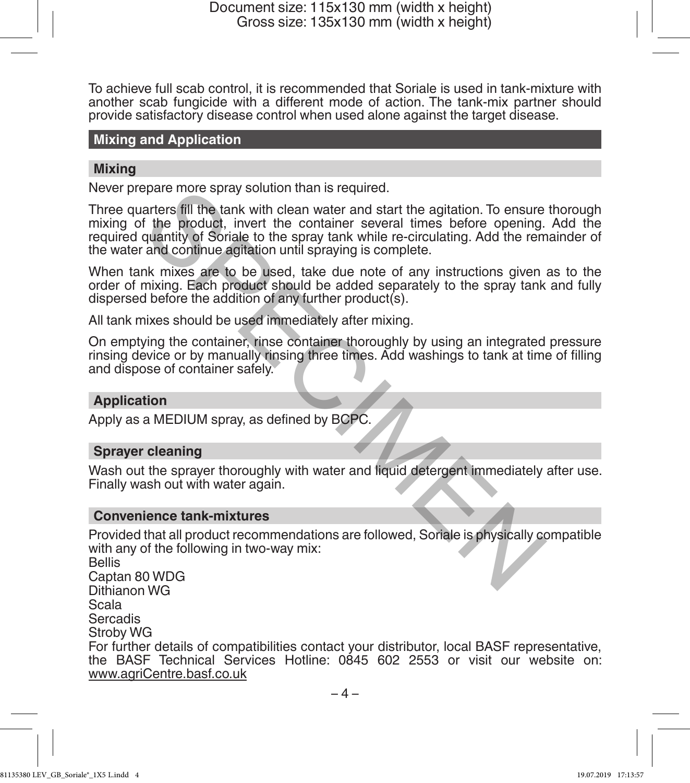To achieve full scab control, it is recommended that Soriale is used in tank-mixture with another scab fungicide with a different mode of action. The tank-mix partner should provide satisfactory disease control when used alone against the target disease.

#### **Mixing and Application**

#### **Mixing**

Never prepare more spray solution than is required.

Three quarters fill the tank with clean water and start the agitation. To ensure thorough mixing of the product, invert the container several times before opening. Add the required quantity of Soriale to the spray tank while re-circulating. Add the remainder of the water and continue agitation until spraying is complete.

When tank mixes are to be used, take due note of any instructions given as to the order of mixing. Each product should be added separately to the spray tank and fully dispersed before the addition of any further product(s).

All tank mixes should be used immediately after mixing.

On emptying the container, rinse container thoroughly by using an integrated pressure rinsing device or by manually rinsing three times. Add washings to tank at time of filling and dispose of container safely.

#### **Application**

Apply as a MEDIUM spray, as defined by BCPC.

#### **Sprayer cleaning**

Wash out the sprayer thoroughly with water and liquid detergent immediately after use. Finally wash out with water again.

#### **Convenience tank-mixtures**

Provided that all product recommendations are followed, Soriale is physically compatible with any of the following in two-way mix: Bellis Captan 80 WDG Dithianon WG Scala Sercadis Stroby WG For further details of compatibilities contact your distributor, local BASF representative, the BASF Technical Services Hotline: 0845 602 2553 or visit our website on: www.agriCentre.basf.co.uk epare more spray solution than is required.<br>
arters fill the tank with clean water and start the agitation. To ensure<br>
f the product, invert the container several times before opening.<br>
quantity of Soriale to the spray tan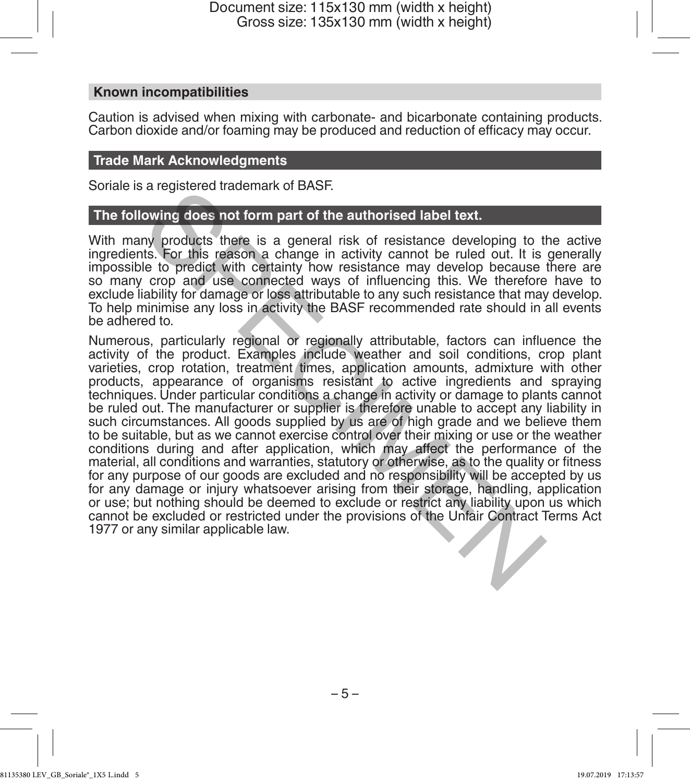#### **Known incompatibilities**

Caution is advised when mixing with carbonate- and bicarbonate containing products. Carbon dioxide and/or foaming may be produced and reduction of efficacy may occur.

#### **Trade Mark Acknowledgments**

Soriale is a registered trademark of BASF.

#### **The following does not form part of the authorised label text.**

With many products there is a general risk of resistance developing to the active ingredients. For this reason a change in activity cannot be ruled out. It is generally impossible to predict with certainty how resistance may develop because there are so many crop and use connected ways of influencing this. We therefore have to exclude liability for damage or loss attributable to any such resistance that may develop. To help minimise any loss in activity the BASF recommended rate should in all events be adhered to.

Numerous, particularly regional or regionally attributable, factors can influence the activity of the product. Examples include weather and soil conditions, crop plant varieties, crop rotation, treatment times, application amounts, admixture with other products, appearance of organisms resistant to active ingredients and spraying techniques. Under particular conditions a change in activity or damage to plants cannot be ruled out. The manufacturer or supplier is therefore unable to accept any liability in such circumstances. All goods supplied by us are of high grade and we believe them to be suitable, but as we cannot exercise control over their mixing or use or the weather conditions during and after application, which may affect the performance of the material, all conditions and warranties, statutory or otherwise, as to the quality or fitness for any purpose of our goods are excluded and no responsibility will be accepted by us for any damage or injury whatsoever arising from their storage, handling, application or use; but nothing should be deemed to exclude or restrict any liability upon us which cannot be excluded or restricted under the provisions of the Unfair Contract Terms Act 1977 or any similar applicable law. a registered induction and fit a different school of the Unitar Control and Control and the proposed in activity cannot be unted out. It is the form that is the the detail of the set of this reason a change in activity can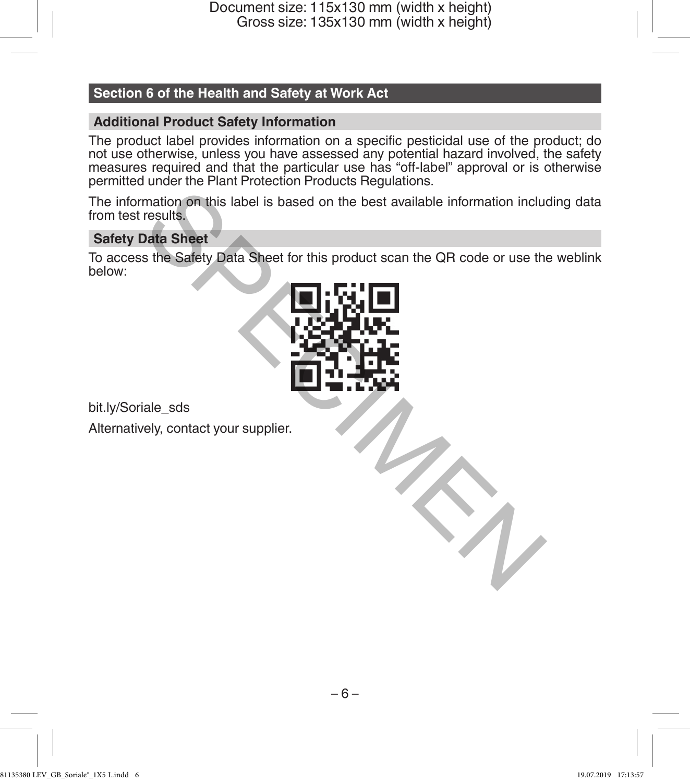#### **Section 6 of the Health and Safety at Work Act**

#### **Additional Product Safety Information**

The product label provides information on a specific pesticidal use of the product; do not use otherwise, unless you have assessed any potential hazard involved, the safety measures required and that the particular use has "off-label" approval or is otherwise permitted under the Plant Protection Products Regulations.

The information on this label is based on the best available information including data from test results.

#### **Safety Data Sheet**

To access the Safety Data Sheet for this product scan the QR code or use the weblink below:



bit.ly/Soriale\_sds Alternatively, contact your supplier.